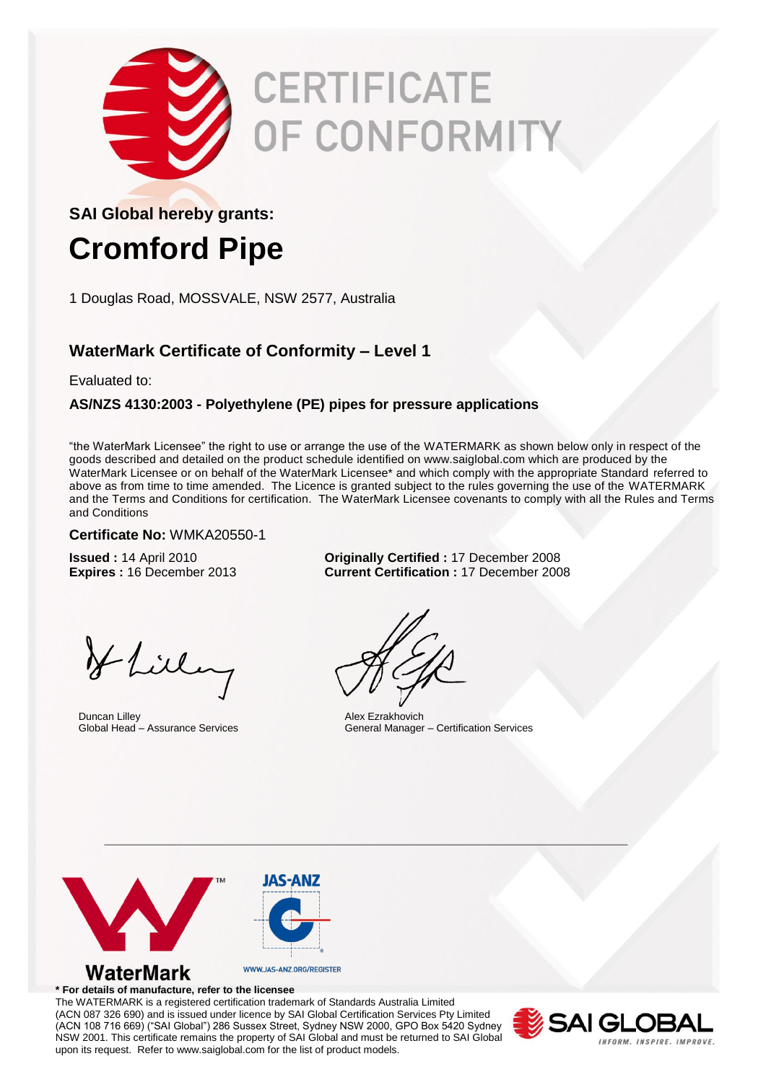

# **CERTIFICATE OF CONFORMITY**

### **SAI Global hereby grants:**

### **Cromford Pipe**

1 Douglas Road, MOSSVALE, NSW 2577, Australia

### **WaterMark Certificate of Conformity – Level 1**

Evaluated to:

### **AS/NZS 4130:2003 - Polyethylene (PE) pipes for pressure applications**

"the WaterMark Licensee" the right to use or arrange the use of the WATERMARK as shown below only in respect of the goods described and detailed on the product schedule identified on www.saiglobal.com which are produced by the WaterMark Licensee or on behalf of the WaterMark Licensee\* and which comply with the appropriate Standard referred to above as from time to time amended. The Licence is granted subject to the rules governing the use of the WATERMARK and the Terms and Conditions for certification. The WaterMark Licensee covenants to comply with all the Rules and Terms and Conditions

#### **Certificate No:** WMKA20550-1

**Issued :** 14 April 2010 **Originally Certified :** 17 December 2008 **Expires :** 16 December 2013 **Current Certification :** 17 December 2008

Hlilling

Duncan Lilley Global Head – Assurance Services

Alex Ezrakhovich General Manager – Certification Services



#### **\* For details of manufacture, refer to the licensee**

The WATERMARK is a registered certification trademark of Standards Australia Limited (ACN 087 326 690) and is issued under licence by SAI Global Certification Services Pty Limited (ACN 108 716 669) ("SAI Global") 286 Sussex Street, Sydney NSW 2000, GPO Box 5420 Sydney NSW 2001. This certificate remains the property of SAI Global and must be returned to SAI Global upon its request. Refer to www.saiglobal.com for the list of product models.

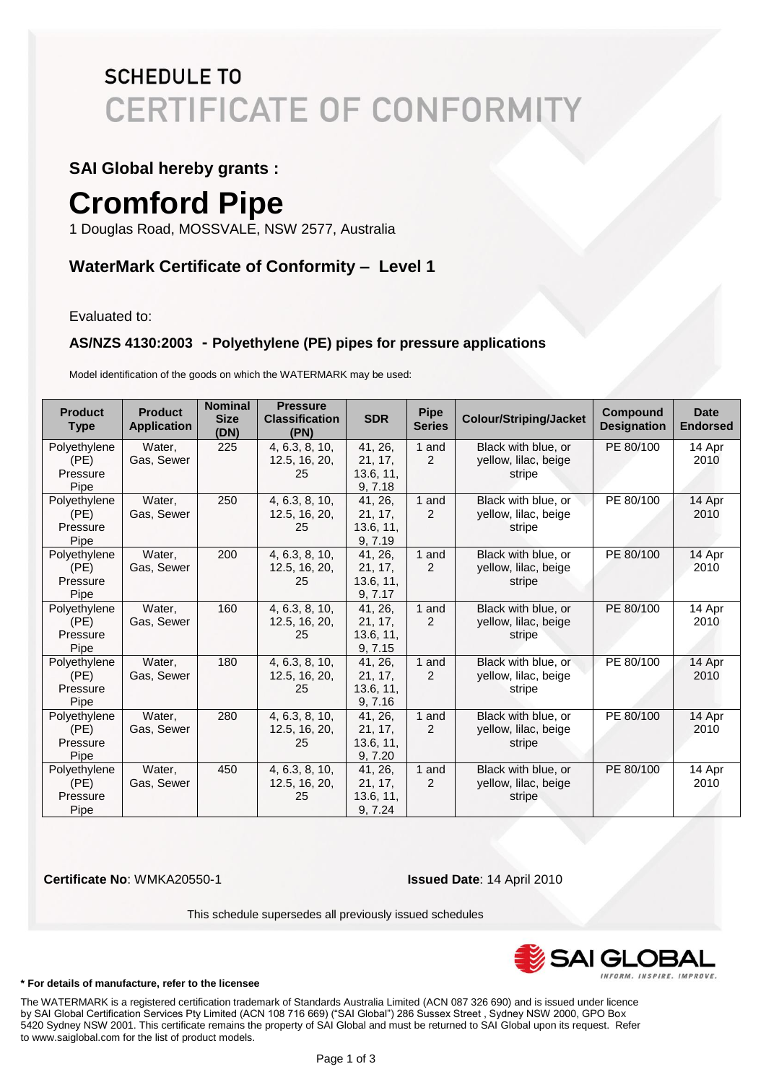### **SCHEDULE TO CERTIFICATE OF CONFORMITY**

### **SAI Global hereby grants :**

## **Cromford Pipe**

1 Douglas Road, MOSSVALE, NSW 2577, Australia

### **WaterMark Certificate of Conformity – Level 1**

Evaluated to:

### **AS/NZS 4130:2003 - Polyethylene (PE) pipes for pressure applications**

Model identification of the goods on which the WATERMARK may be used:

| <b>Product</b><br><b>Type</b> | <b>Product</b><br><b>Application</b> | <b>Nominal</b><br><b>Size</b><br>(DN) | <b>Pressure</b><br><b>Classification</b><br>(PN) | <b>SDR</b> | <b>Pipe</b><br><b>Series</b> | <b>Colour/Striping/Jacket</b> | <b>Compound</b><br><b>Designation</b> | <b>Date</b><br><b>Endorsed</b> |
|-------------------------------|--------------------------------------|---------------------------------------|--------------------------------------------------|------------|------------------------------|-------------------------------|---------------------------------------|--------------------------------|
| Polyethylene                  | Water.                               | 225                                   | 4, 6.3, 8, 10,                                   | 41, 26,    | 1 and                        | Black with blue, or           | PE 80/100                             | 14 Apr                         |
| (PE)                          | Gas, Sewer                           |                                       | 12.5, 16, 20,                                    | 21, 17,    | $\overline{2}$               | yellow, lilac, beige          |                                       | 2010                           |
| Pressure                      |                                      |                                       | 25                                               | 13.6, 11,  |                              | stripe                        |                                       |                                |
| Pipe                          |                                      |                                       |                                                  | 9, 7.18    |                              |                               |                                       |                                |
| Polyethylene                  | Water,                               | 250                                   | 4, 6.3, 8, 10,                                   | 41.26.     | 1 and                        | Black with blue, or           | PE 80/100                             | 14 Apr                         |
| (PE)                          | Gas, Sewer                           |                                       | 12.5, 16, 20,                                    | 21, 17,    | 2                            | yellow, lilac, beige          |                                       | 2010                           |
| Pressure                      |                                      |                                       | 25                                               | 13.6, 11,  |                              | stripe                        |                                       |                                |
| Pipe                          |                                      |                                       |                                                  | 9, 7.19    |                              |                               |                                       |                                |
| Polyethylene                  | Water,                               | 200                                   | 4, 6.3, 8, 10,                                   | 41, 26,    | 1 and                        | Black with blue, or           | PE 80/100                             | 14 Apr                         |
| (PE)                          | Gas, Sewer                           |                                       | 12.5, 16, 20,                                    | 21, 17,    | 2                            | yellow, lilac, beige          |                                       | 2010                           |
| Pressure                      |                                      |                                       | 25                                               | 13.6, 11,  |                              | stripe                        |                                       |                                |
| Pipe                          |                                      |                                       |                                                  | 9, 7.17    |                              |                               |                                       |                                |
| Polyethylene                  | Water,                               | 160                                   | 4, 6.3, 8, 10,                                   | 41, 26,    | 1 and                        | Black with blue, or           | PE 80/100                             | 14 Apr                         |
| (PE)                          | Gas, Sewer                           |                                       | 12.5, 16, 20,                                    | 21, 17,    | $\overline{2}$               | yellow, lilac, beige          |                                       | 2010                           |
| Pressure                      |                                      |                                       | 25                                               | 13.6, 11,  |                              | stripe                        |                                       |                                |
| Pipe                          |                                      |                                       |                                                  | 9, 7.15    |                              |                               |                                       |                                |
| Polyethylene                  | Water,                               | 180                                   | 4, 6.3, 8, 10,                                   | 41, 26,    | 1 and                        | Black with blue, or           | PE 80/100                             | 14 Apr                         |
| (PE)                          | Gas, Sewer                           |                                       | 12.5, 16, 20,                                    | 21, 17,    | 2                            | yellow, lilac, beige          |                                       | 2010                           |
| Pressure                      |                                      |                                       | 25                                               | 13.6, 11,  |                              | stripe                        |                                       |                                |
| Pipe                          |                                      |                                       |                                                  | 9, 7.16    |                              |                               |                                       |                                |
| Polyethylene                  | Water,                               | 280                                   | 4, 6.3, 8, 10,                                   | 41, 26,    | 1 and                        | Black with blue, or           | PE 80/100                             | 14 Apr                         |
| (PE)                          | Gas, Sewer                           |                                       | 12.5, 16, 20,                                    | 21, 17,    | 2                            | yellow, lilac, beige          |                                       | 2010                           |
| Pressure                      |                                      |                                       | 25                                               | 13.6, 11,  |                              | stripe                        |                                       |                                |
| Pipe                          |                                      |                                       |                                                  | 9, 7.20    |                              |                               |                                       |                                |
| Polyethylene                  | Water,                               | 450                                   | 4, 6.3, 8, 10,                                   | 41, 26,    | 1 and                        | Black with blue, or           | PE 80/100                             | 14 Apr                         |
| (PE)                          | Gas, Sewer                           |                                       | 12.5, 16, 20,                                    | 21, 17,    | $\overline{2}$               | yellow, lilac, beige          |                                       | 2010                           |
| Pressure                      |                                      |                                       | 25                                               | 13.6, 11,  |                              | stripe                        |                                       |                                |
| Pipe                          |                                      |                                       |                                                  | 9, 7.24    |                              |                               |                                       |                                |

**Certificate No**: WMKA20550-1 **Issued Date**: 14 April 2010

This schedule supersedes all previously issued schedules



#### **\* For details of manufacture, refer to the licensee**

The WATERMARK is a registered certification trademark of Standards Australia Limited (ACN 087 326 690) and is issued under licence by SAI Global Certification Services Pty Limited (ACN 108 716 669) ("SAI Global") 286 Sussex Street , Sydney NSW 2000, GPO Box 5420 Sydney NSW 2001. This certificate remains the property of SAI Global and must be returned to SAI Global upon its request. Refer to www.saiglobal.com for the list of product models. <sup>4</sup>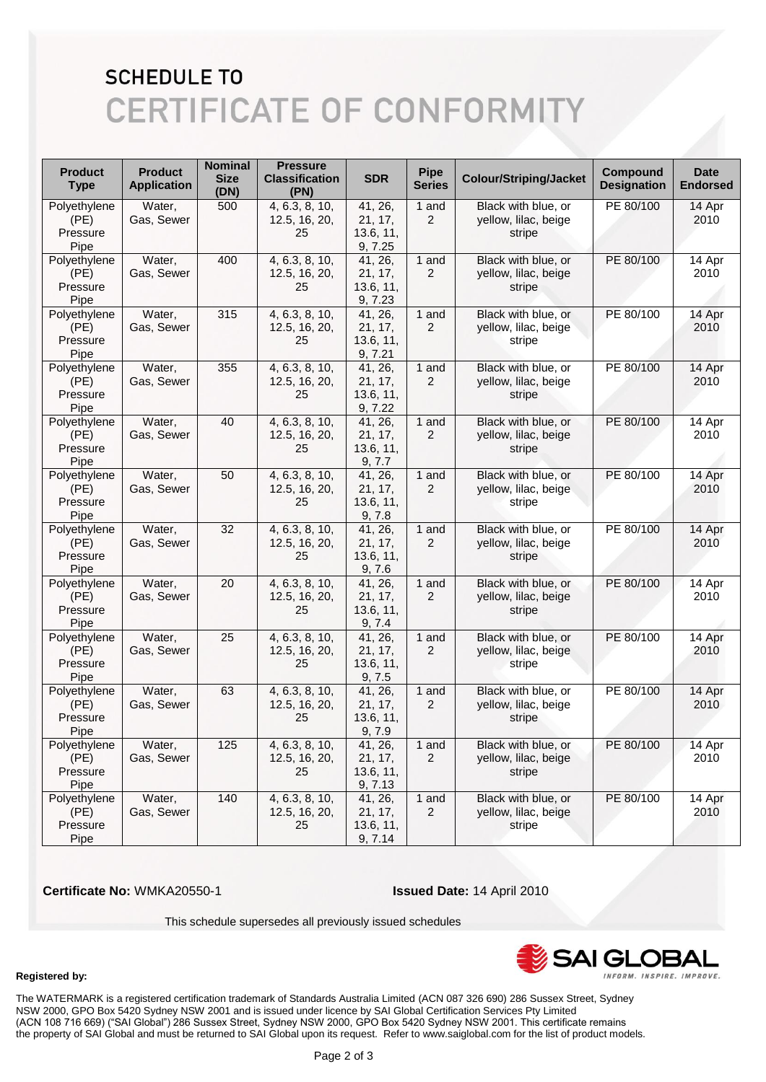### **SCHEDULE TO CERTIFICATE OF CONFORMITY**

| <b>Product</b><br><b>Type</b>            | <b>Product</b><br><b>Application</b> | <b>Nominal</b><br><b>Size</b><br>(DN) | <b>Pressure</b><br><b>Classification</b><br>(PN) | <b>SDR</b>                                 | <b>Pipe</b><br><b>Series</b> | <b>Colour/Striping/Jacket</b>                         | <b>Compound</b><br><b>Designation</b> | <b>Date</b><br><b>Endorsed</b> |
|------------------------------------------|--------------------------------------|---------------------------------------|--------------------------------------------------|--------------------------------------------|------------------------------|-------------------------------------------------------|---------------------------------------|--------------------------------|
| Polyethylene<br>(PE)<br>Pressure<br>Pipe | Water,<br>Gas, Sewer                 | 500                                   | 4, 6.3, 8, 10,<br>12.5, 16, 20,<br>25            | 41, 26,<br>21, 17,<br>13.6, 11,<br>9, 7.25 | 1 and<br>$\overline{2}$      | Black with blue, or<br>yellow, lilac, beige<br>stripe | PE 80/100                             | 14 Apr<br>2010                 |
| Polyethylene<br>(PE)<br>Pressure<br>Pipe | Water,<br>Gas, Sewer                 | 400                                   | 4, 6.3, 8, 10,<br>12.5, 16, 20,<br>25            | 41, 26,<br>21, 17,<br>13.6, 11,<br>9, 7.23 | 1 and<br>$\overline{2}$      | Black with blue, or<br>yellow, lilac, beige<br>stripe | PE 80/100                             | 14 Apr<br>2010                 |
| Polyethylene<br>(PE)<br>Pressure<br>Pipe | Water,<br>Gas, Sewer                 | 315                                   | 4, 6.3, 8, 10,<br>12.5, 16, 20,<br>25            | 41, 26,<br>21, 17,<br>13.6, 11,<br>9, 7.21 | 1 and<br>$\overline{c}$      | Black with blue, or<br>yellow, lilac, beige<br>stripe | PE 80/100                             | 14 Apr<br>2010                 |
| Polyethylene<br>(PE)<br>Pressure<br>Pipe | Water,<br>Gas, Sewer                 | 355                                   | 4, 6.3, 8, 10,<br>12.5, 16, 20,<br>25            | 41, 26,<br>21, 17,<br>13.6, 11,<br>9, 7.22 | 1 and<br>$\overline{2}$      | Black with blue, or<br>yellow, lilac, beige<br>stripe | PE 80/100                             | 14 Apr<br>2010                 |
| Polyethylene<br>(PE)<br>Pressure<br>Pipe | Water,<br>Gas, Sewer                 | 40                                    | 4, 6.3, 8, 10,<br>12.5, 16, 20,<br>25            | 41, 26,<br>21, 17,<br>13.6, 11,<br>9, 7.7  | 1 and<br>$\overline{2}$      | Black with blue, or<br>yellow, lilac, beige<br>stripe | PE 80/100                             | 14 Apr<br>2010                 |
| Polyethylene<br>(PE)<br>Pressure<br>Pipe | Water,<br>Gas, Sewer                 | 50                                    | 4, 6.3, 8, 10,<br>12.5, 16, 20,<br>25            | 41, 26,<br>21, 17,<br>13.6, 11,<br>9, 7.8  | 1 and<br>$\overline{2}$      | Black with blue, or<br>yellow, lilac, beige<br>stripe | PE 80/100                             | 14 Apr<br>2010                 |
| Polyethylene<br>(PE)<br>Pressure<br>Pipe | Water,<br>Gas, Sewer                 | 32                                    | 4, 6.3, 8, 10,<br>12.5, 16, 20,<br>25            | 41, 26,<br>21, 17,<br>13.6, 11,<br>9, 7.6  | 1 and<br>$\overline{2}$      | Black with blue, or<br>yellow, lilac, beige<br>stripe | PE 80/100                             | 14 Apr<br>2010                 |
| Polyethylene<br>(PE)<br>Pressure<br>Pipe | Water,<br>Gas, Sewer                 | 20                                    | 4, 6.3, 8, 10,<br>12.5, 16, 20,<br>25            | 41, 26,<br>21, 17,<br>13.6, 11,<br>9, 7.4  | 1 and<br>$\overline{2}$      | Black with blue, or<br>yellow, lilac, beige<br>stripe | PE 80/100                             | 14 Apr<br>2010                 |
| Polyethylene<br>(PE)<br>Pressure<br>Pipe | Water,<br>Gas, Sewer                 | 25                                    | 4, 6.3, 8, 10,<br>12.5, 16, 20,<br>25            | 41, 26,<br>21, 17,<br>13.6, 11,<br>9, 7.5  | 1 and<br>$\overline{2}$      | Black with blue, or<br>yellow, lilac, beige<br>stripe | PE 80/100                             | 14 Apr<br>2010                 |
| Polyethylene<br>(PE)<br>Pressure<br>Pipe | Water,<br>Gas, Sewer                 | 63                                    | 4, 6.3, 8, 10,<br>12.5, 16, 20,<br>25            | 41, 26,<br>21, 17,<br>13.6, 11,<br>9, 7.9  | 1 and<br>$\overline{2}$      | Black with blue, or<br>yellow, lilac, beige<br>stripe | PE 80/100                             | 14 Apr<br>2010                 |
| Polyethylene<br>(PE)<br>Pressure<br>Pipe | Water,<br>Gas, Sewer                 | 125                                   | 4, 6.3, 8, 10,<br>12.5, 16, 20,<br>25            | 41, 26,<br>21, 17,<br>13.6, 11,<br>9, 7.13 | 1 and<br>$\overline{2}$      | Black with blue, or<br>yellow, lilac, beige<br>stripe | PE 80/100                             | 14 Apr<br>2010                 |
| Polyethylene<br>(PE)<br>Pressure<br>Pipe | Water,<br>Gas, Sewer                 | 140                                   | 4, 6.3, 8, 10,<br>12.5, 16, 20,<br>25            | 41, 26,<br>21, 17,<br>13.6, 11,<br>9, 7.14 | 1 and<br>$\overline{2}$      | Black with blue, or<br>yellow, lilac, beige<br>stripe | PE 80/100                             | 14 Apr<br>2010                 |

 **Certificate No:** WMKA20550-1 **Issued Date:** 14 April 2010

This schedule supersedes all previously issued schedules



#### **Registered by:**

The WATERMARK is a registered certification trademark of Standards Australia Limited (ACN 087 326 690) 286 Sussex Street, Sydney NSW 2000, GPO Box 5420 Sydney NSW 2001 and is issued under licence by SAI Global Certification Services Pty Limited (ACN 108 716 669) ("SAI Global") 286 Sussex Street, Sydney NSW 2000, GPO Box 5420 Sydney NSW 2001. This certificate remains the property of SAI Global and must be returned to SAI Global upon its request. Refer to www.saiglobal.com for the list of product models.